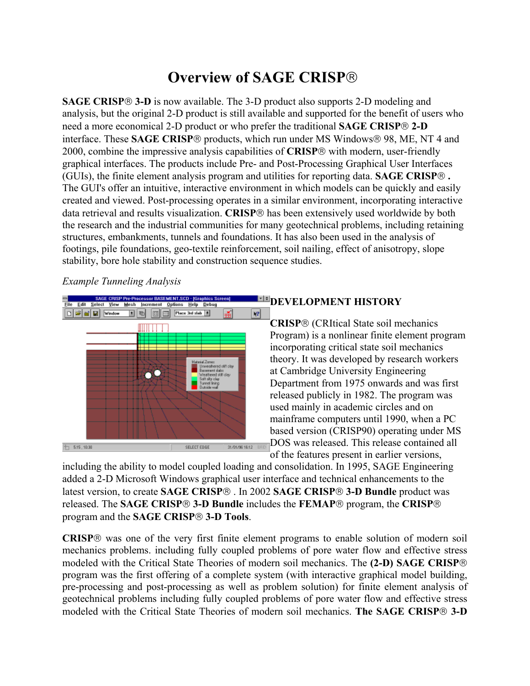# **Overview of SAGE CRISP**

**SAGE CRISP 3-D** is now available. The 3-D product also supports 2-D modeling and analysis, but the original 2-D product is still available and supported for the benefit of users who need a more economical 2-D product or who prefer the traditional **SAGE CRISP 2-D** interface. These **SAGE CRISP**® products, which run under MS Windows® 98, ME, NT 4 and 2000, combine the impressive analysis capabilities of **CRISP** with modern, user-friendly graphical interfaces. The products include Pre- and Post-Processing Graphical User Interfaces (GUIs), the finite element analysis program and utilities for reporting data. **SAGE CRISP .** The GUI's offer an intuitive, interactive environment in which models can be quickly and easily created and viewed. Post-processing operates in a similar environment, incorporating interactive data retrieval and results visualization. **CRISP**® has been extensively used worldwide by both the research and the industrial communities for many geotechnical problems, including retaining structures, embankments, tunnels and foundations. It has also been used in the analysis of footings, pile foundations, geo-textile reinforcement, soil nailing, effect of anisotropy, slope stability, bore hole stability and construction sequence studies.

#### *Example Tunneling Analysis*



## **DEVELOPMENT HISTORY**

**CRISP** (CRItical State soil mechanics Program) is a nonlinear finite element program incorporating critical state soil mechanics theory. It was developed by research workers at Cambridge University Engineering Department from 1975 onwards and was first released publicly in 1982. The program was used mainly in academic circles and on mainframe computers until 1990, when a PC based version (CRISP90) operating under MS DOS was released. This release contained all

of the features present in earlier versions,

including the ability to model coupled loading and consolidation. In 1995, SAGE Engineering added a 2-D Microsoft Windows graphical user interface and technical enhancements to the latest version, to create **SAGE CRISP**<sup>®</sup>. In 2002 **SAGE CRISP<sup>®</sup> 3-D Bundle** product was released. The **SAGE CRISP 3-D Bundle** includes the **FEMAP** program, the **CRISP** program and the **SAGE CRISP 3-D Tools**.

**CRISP** was one of the very first finite element programs to enable solution of modern soil mechanics problems. including fully coupled problems of pore water flow and effective stress modeled with the Critical State Theories of modern soil mechanics. The **(2-D) SAGE CRISP** program was the first offering of a complete system (with interactive graphical model building, pre-processing and post-processing as well as problem solution) for finite element analysis of geotechnical problems including fully coupled problems of pore water flow and effective stress modeled with the Critical State Theories of modern soil mechanics. **The SAGE CRISP 3-D**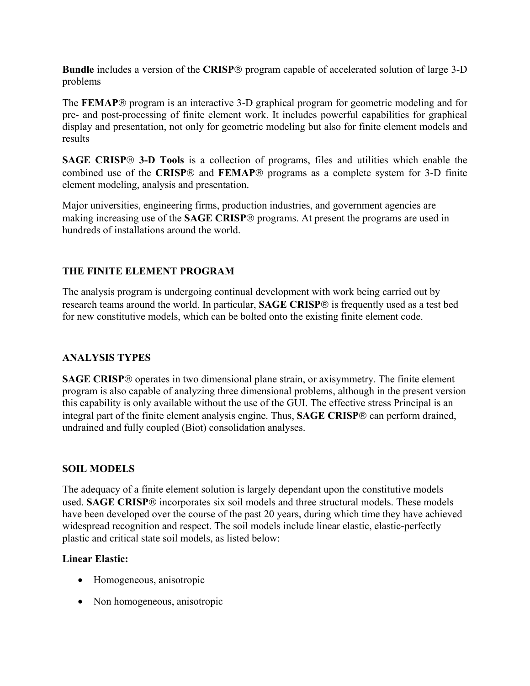**Bundle** includes a version of the **CRISP**® program capable of accelerated solution of large 3-D problems

The **FEMAP**® program is an interactive 3-D graphical program for geometric modeling and for pre- and post-processing of finite element work. It includes powerful capabilities for graphical display and presentation, not only for geometric modeling but also for finite element models and results

**SAGE CRISP<sup>®</sup> 3-D Tools** is a collection of programs, files and utilities which enable the combined use of the **CRISP**® and **FEMAP**<sup>®</sup> programs as a complete system for 3-D finite element modeling, analysis and presentation.

Major universities, engineering firms, production industries, and government agencies are making increasing use of the **SAGE CRISP**® programs. At present the programs are used in hundreds of installations around the world.

# **THE FINITE ELEMENT PROGRAM**

The analysis program is undergoing continual development with work being carried out by research teams around the world. In particular, **SAGE CRISP**® is frequently used as a test bed for new constitutive models, which can be bolted onto the existing finite element code.

## **ANALYSIS TYPES**

**SAGE CRISP**® operates in two dimensional plane strain, or axisymmetry. The finite element program is also capable of analyzing three dimensional problems, although in the present version this capability is only available without the use of the GUI. The effective stress Principal is an integral part of the finite element analysis engine. Thus, **SAGE CRISP**® can perform drained, undrained and fully coupled (Biot) consolidation analyses.

## **SOIL MODELS**

The adequacy of a finite element solution is largely dependant upon the constitutive models used. **SAGE CRISP**® incorporates six soil models and three structural models. These models have been developed over the course of the past 20 years, during which time they have achieved widespread recognition and respect. The soil models include linear elastic, elastic-perfectly plastic and critical state soil models, as listed below:

## **Linear Elastic:**

- Homogeneous, anisotropic
- Non homogeneous, anisotropic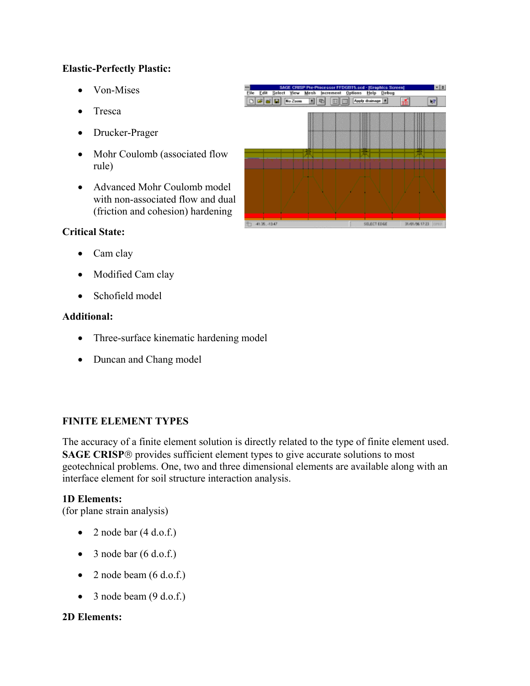## **Elastic-Perfectly Plastic:**

- Von-Mises
- Tresca
- Drucker-Prager
- Mohr Coulomb (associated flow rule)
- Advanced Mohr Coulomb model with non-associated flow and dual (friction and cohesion) hardening

# **Critical State:**

- Cam clay
- Modified Cam clay
- Schofield model

## **Additional:**

- Three-surface kinematic hardening model
- Duncan and Chang model

# **FINITE ELEMENT TYPES**

The accuracy of a finite element solution is directly related to the type of finite element used. **SAGE CRISP**® provides sufficient element types to give accurate solutions to most geotechnical problems. One, two and three dimensional elements are available along with an interface element for soil structure interaction analysis.

#### **1D Elements:**

(for plane strain analysis)

- 2 node bar  $(4 d.o.f.)$
- 3 node bar  $(6 d.o.f.)$
- 2 node beam  $(6 d.o.f.)$
- 3 node beam  $(9 d.o.f.)$

## **2D Elements:**

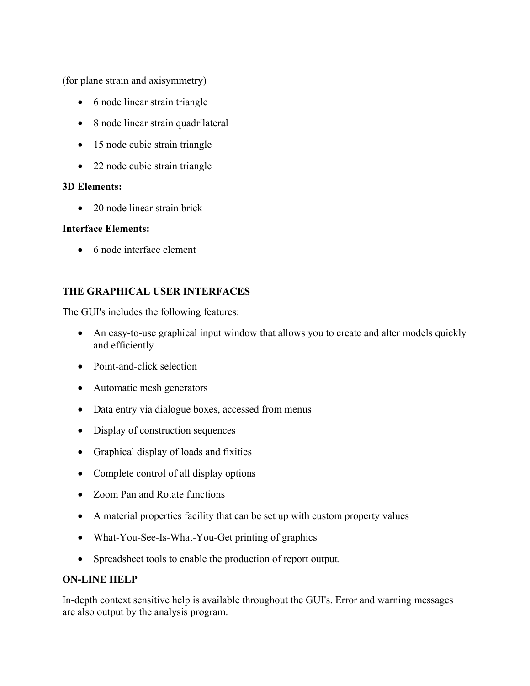(for plane strain and axisymmetry)

- 6 node linear strain triangle
- 8 node linear strain quadrilateral
- 15 node cubic strain triangle
- 22 node cubic strain triangle

#### **3D Elements:**

• 20 node linear strain brick

#### **Interface Elements:**

• 6 node interface element

# **THE GRAPHICAL USER INTERFACES**

The GUI's includes the following features:

- An easy-to-use graphical input window that allows you to create and alter models quickly and efficiently
- Point-and-click selection
- Automatic mesh generators
- Data entry via dialogue boxes, accessed from menus
- Display of construction sequences
- Graphical display of loads and fixities
- Complete control of all display options
- Zoom Pan and Rotate functions
- A material properties facility that can be set up with custom property values
- What-You-See-Is-What-You-Get printing of graphics
- Spreadsheet tools to enable the production of report output.

## **ON-LINE HELP**

In-depth context sensitive help is available throughout the GUI's. Error and warning messages are also output by the analysis program.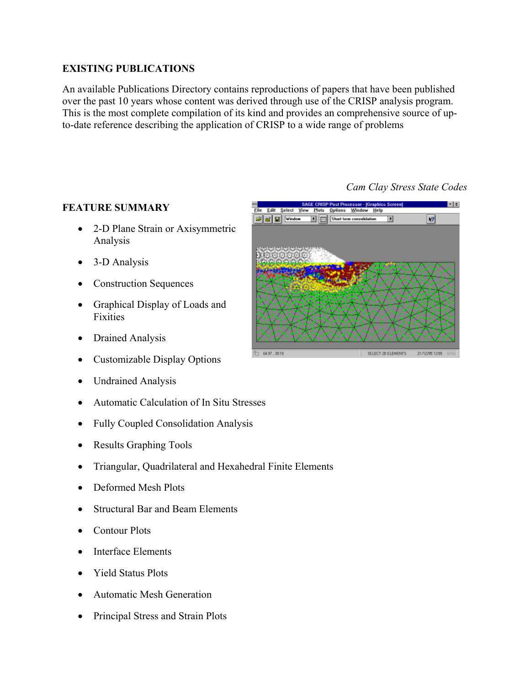# **EXISTING PUBLICATIONS**

An available Publications Directory contains reproductions of papers that have been published over the past 10 years whose content was derived through use of the CRISP analysis program. This is the most complete compilation of its kind and provides an comprehensive source of upto-date reference describing the application of CRISP to a wide range of problems

## **FEATURE SUMMARY**

- 2-D Plane Strain or Axisymmetric Analysis
- 3-D Analysis
- Construction Sequences
- Graphical Display of Loads and Fixities
- Drained Analysis
- Customizable Display Options
- Undrained Analysis
- Automatic Calculation of In Situ Stresses
- Fully Coupled Consolidation Analysis
- Results Graphing Tools
- Triangular, Quadrilateral and Hexahedral Finite Elements
- Deformed Mesh Plots
- Structural Bar and Beam Elements
- Contour Plots
- Interface Elements
- Yield Status Plots
- Automatic Mesh Generation
- Principal Stress and Strain Plots